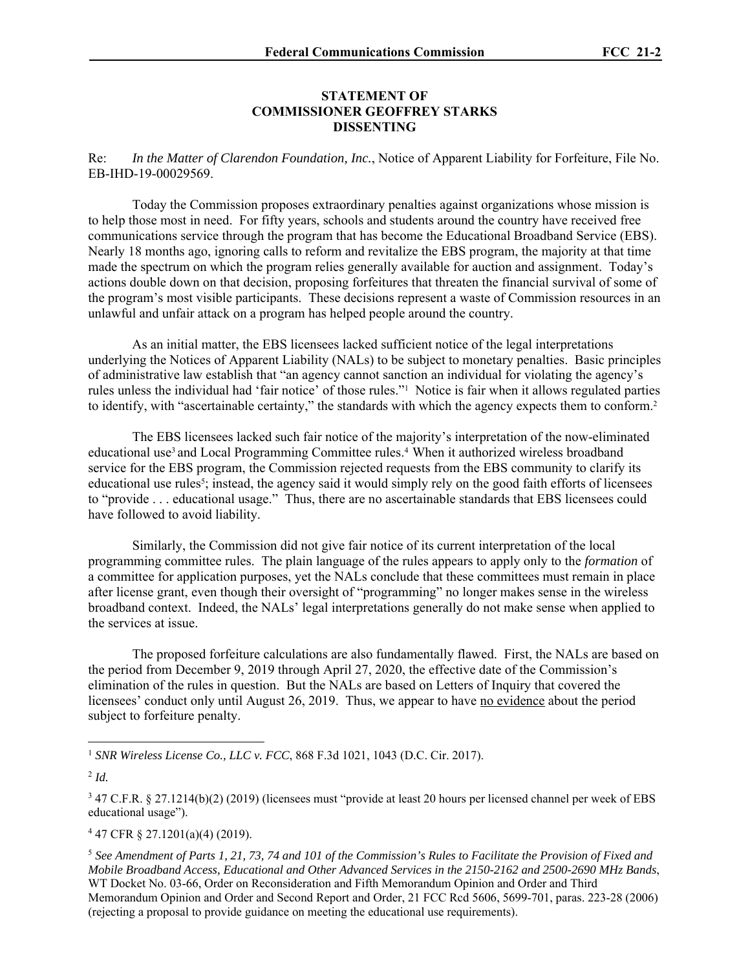## **STATEMENT OF COMMISSIONER GEOFFREY STARKS DISSENTING**

Re: *In the Matter of Clarendon Foundation, Inc.*, Notice of Apparent Liability for Forfeiture, File No. EB-IHD-19-00029569.

Today the Commission proposes extraordinary penalties against organizations whose mission is to help those most in need. For fifty years, schools and students around the country have received free communications service through the program that has become the Educational Broadband Service (EBS). Nearly 18 months ago, ignoring calls to reform and revitalize the EBS program, the majority at that time made the spectrum on which the program relies generally available for auction and assignment. Today's actions double down on that decision, proposing forfeitures that threaten the financial survival of some of the program's most visible participants. These decisions represent a waste of Commission resources in an unlawful and unfair attack on a program has helped people around the country.

As an initial matter, the EBS licensees lacked sufficient notice of the legal interpretations underlying the Notices of Apparent Liability (NALs) to be subject to monetary penalties. Basic principles of administrative law establish that "an agency cannot sanction an individual for violating the agency's rules unless the individual had 'fair notice' of those rules."<sup>1</sup> Notice is fair when it allows regulated parties to identify, with "ascertainable certainty," the standards with which the agency expects them to conform.2

The EBS licensees lacked such fair notice of the majority's interpretation of the now-eliminated educational use<sup>3</sup> and Local Programming Committee rules.<sup>4</sup> When it authorized wireless broadband service for the EBS program, the Commission rejected requests from the EBS community to clarify its educational use rules<sup>5</sup>; instead, the agency said it would simply rely on the good faith efforts of licensees to "provide . . . educational usage." Thus, there are no ascertainable standards that EBS licensees could have followed to avoid liability.

Similarly, the Commission did not give fair notice of its current interpretation of the local programming committee rules. The plain language of the rules appears to apply only to the *formation* of a committee for application purposes, yet the NALs conclude that these committees must remain in place after license grant, even though their oversight of "programming" no longer makes sense in the wireless broadband context. Indeed, the NALs' legal interpretations generally do not make sense when applied to the services at issue.

The proposed forfeiture calculations are also fundamentally flawed. First, the NALs are based on the period from December 9, 2019 through April 27, 2020, the effective date of the Commission's elimination of the rules in question. But the NALs are based on Letters of Inquiry that covered the licensees' conduct only until August 26, 2019. Thus, we appear to have no evidence about the period subject to forfeiture penalty.

4 47 CFR § 27.1201(a)(4) (2019).

<sup>1</sup> *SNR Wireless License Co., LLC v. FCC*, 868 F.3d 1021, 1043 (D.C. Cir. 2017).

 $2$   $Id$ .

<sup>3</sup> 47 C.F.R. § 27.1214(b)(2) (2019) (licensees must "provide at least 20 hours per licensed channel per week of EBS educational usage").

<sup>5</sup> *See Amendment of Parts 1, 21, 73, 74 and 101 of the Commission's Rules to Facilitate the Provision of Fixed and Mobile Broadband Access, Educational and Other Advanced Services in the 2150-2162 and 2500-2690 MHz Bands*, WT Docket No. 03-66, Order on Reconsideration and Fifth Memorandum Opinion and Order and Third Memorandum Opinion and Order and Second Report and Order, 21 FCC Rcd 5606, 5699-701, paras. 223-28 (2006) (rejecting a proposal to provide guidance on meeting the educational use requirements).